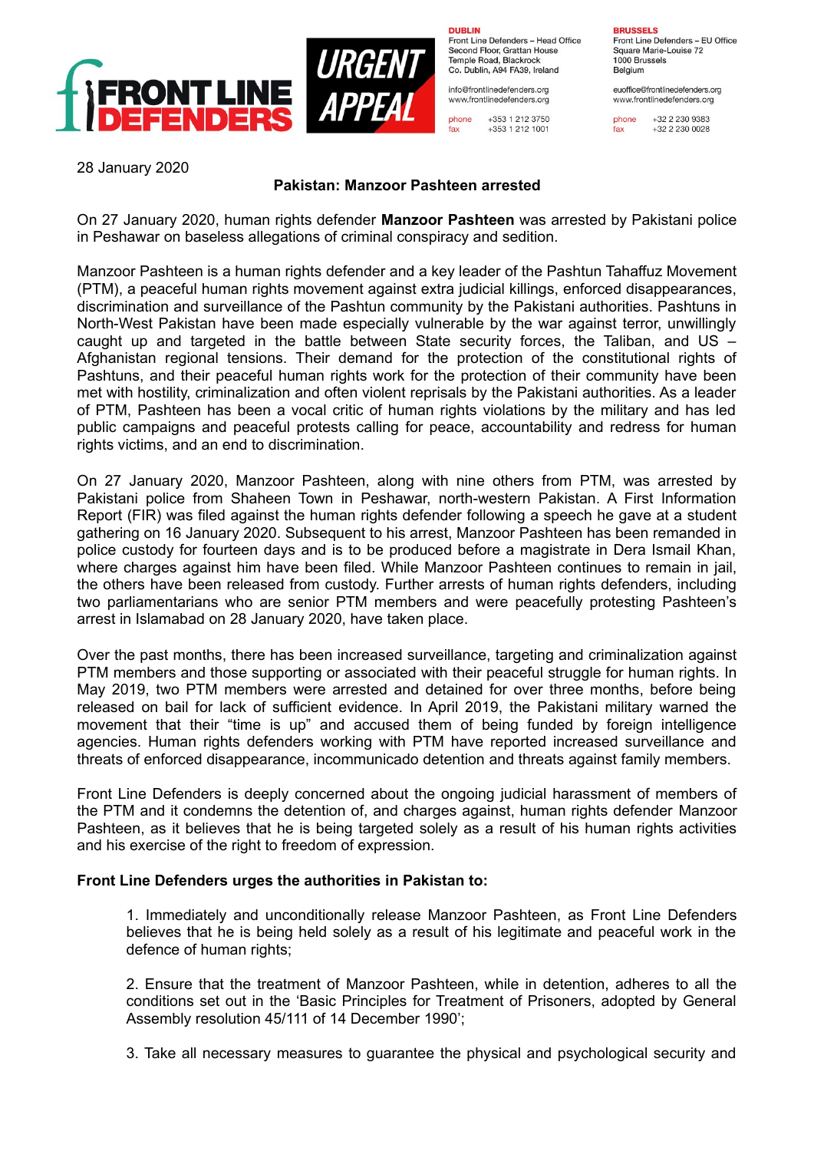

**DUBLIN** Front Line Defenders - Head Office Second Floor, Grattan House Temple Boad, Blackrock Co. Dublin, A94 FA39, Ireland

info@frontlinedefenders.org www.frontlinedefenders.org

phone +353 1 212 3750 +353 1 212 1001 fax

**BRUSSELS** Front Line Defenders - EU Office

Square Marie-Louise 72 1000 Brussels Belgium

euoffice@frontlinedefenders.org www.frontlinedefenders.org

phone +32 2 230 9383  $fax$ +32 2 230 0028

28 January 2020

## **Pakistan: Manzoor Pashteen arrested**

On 27 January 2020, human rights defender **Manzoor Pashteen** was arrested by Pakistani police in Peshawar on baseless allegations of criminal conspiracy and sedition.

Manzoor Pashteen is a human rights defender and a key leader of the Pashtun Tahaffuz Movement (PTM), a peaceful human rights movement against extra judicial killings, enforced disappearances, discrimination and surveillance of the Pashtun community by the Pakistani authorities. Pashtuns in North-West Pakistan have been made especially vulnerable by the war against terror, unwillingly caught up and targeted in the battle between State security forces, the Taliban, and US – Afghanistan regional tensions. Their demand for the protection of the constitutional rights of Pashtuns, and their peaceful human rights work for the protection of their community have been met with hostility, criminalization and often violent reprisals by the Pakistani authorities. As a leader of PTM, Pashteen has been a vocal critic of human rights violations by the military and has led public campaigns and peaceful protests calling for peace, accountability and redress for human rights victims, and an end to discrimination.

On 27 January 2020, Manzoor Pashteen, along with nine others from PTM, was arrested by Pakistani police from Shaheen Town in Peshawar, north-western Pakistan. A First Information Report (FIR) was filed against the human rights defender following a speech he gave at a student gathering on 16 January 2020. Subsequent to his arrest, Manzoor Pashteen has been remanded in police custody for fourteen days and is to be produced before a magistrate in Dera Ismail Khan, where charges against him have been filed. While Manzoor Pashteen continues to remain in jail, the others have been released from custody. Further arrests of human rights defenders, including two parliamentarians who are senior PTM members and were peacefully protesting Pashteen's arrest in Islamabad on 28 January 2020, have taken place.

Over the past months, there has been increased surveillance, targeting and criminalization against PTM members and those supporting or associated with their peaceful struggle for human rights. In May 2019, two PTM members were arrested and detained for over three months, before being released on bail for lack of sufficient evidence. In April 2019, the Pakistani military warned the movement that their "time is up" and accused them of being funded by foreign intelligence agencies. Human rights defenders working with PTM have reported increased surveillance and threats of enforced disappearance, incommunicado detention and threats against family members.

Front Line Defenders is deeply concerned about the ongoing judicial harassment of members of the PTM and it condemns the detention of, and charges against, human rights defender Manzoor Pashteen, as it believes that he is being targeted solely as a result of his human rights activities and his exercise of the right to freedom of expression.

## **Front Line Defenders urges the authorities in Pakistan to:**

1. Immediately and unconditionally release Manzoor Pashteen, as Front Line Defenders believes that he is being held solely as a result of his legitimate and peaceful work in the defence of human rights;

2. Ensure that the treatment of Manzoor Pashteen, while in detention, adheres to all the conditions set out in the 'Basic Principles for Treatment of Prisoners, adopted by General Assembly resolution 45/111 of 14 December 1990';

3. Take all necessary measures to guarantee the physical and psychological security and